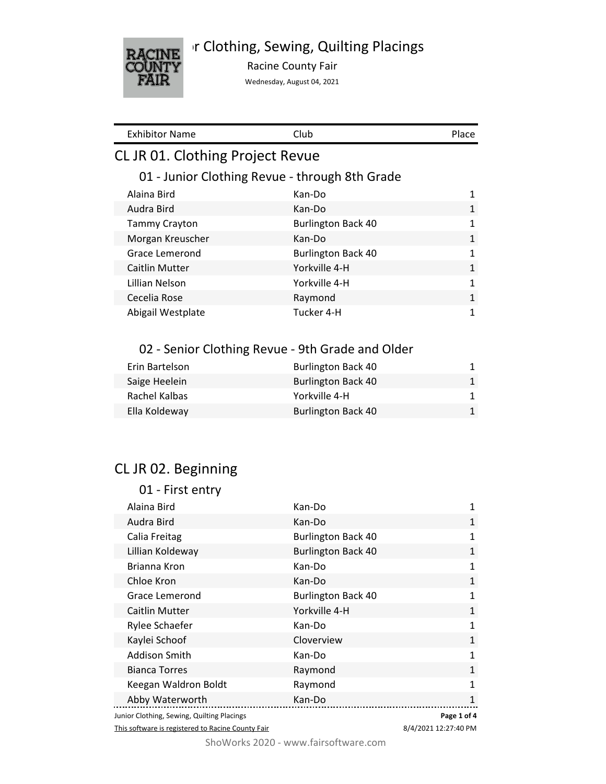



Racine County Fair

Wednesday, August 04, 2021

| <b>Exhibitor Name</b>            | Club                                             | Place        |
|----------------------------------|--------------------------------------------------|--------------|
| CL JR 01. Clothing Project Revue |                                                  |              |
|                                  | 01 - Junior Clothing Revue - through 8th Grade   |              |
| Alaina Bird                      | Kan-Do                                           | $\mathbf{1}$ |
| Audra Bird                       | Kan-Do                                           | $\mathbf{1}$ |
| <b>Tammy Crayton</b>             | <b>Burlington Back 40</b>                        | 1            |
| Morgan Kreuscher                 | Kan-Do                                           | $\mathbf{1}$ |
| Grace Lemerond                   | <b>Burlington Back 40</b>                        | $\mathbf{1}$ |
| Caitlin Mutter                   | Yorkville 4-H                                    | $\mathbf{1}$ |
| Lillian Nelson                   | Yorkville 4-H                                    | $\mathbf{1}$ |
| Cecelia Rose                     | Raymond                                          | $\mathbf{1}$ |
| Abigail Westplate                | Tucker 4-H                                       | $\mathbf{1}$ |
|                                  |                                                  |              |
|                                  | 02 - Senior Clothing Revue - 9th Grade and Older |              |
| Erin Bartelson                   | <b>Burlington Back 40</b>                        | 1            |
| Saige Heelein                    | <b>Burlington Back 40</b>                        | $\mathbf{1}$ |
| Rachel Kalbas                    | Yorkville 4-H                                    | 1            |
| Ella Koldeway                    | <b>Burlington Back 40</b>                        | 1            |
|                                  |                                                  |              |
|                                  |                                                  |              |

# CL JR 02. Beginning

| 01 - First entry                           |                           |              |
|--------------------------------------------|---------------------------|--------------|
| Alaina Bird                                | Kan-Do                    | 1            |
| Audra Bird                                 | Kan-Do                    | 1            |
| Calia Freitag                              | <b>Burlington Back 40</b> | 1            |
| Lillian Koldeway                           | <b>Burlington Back 40</b> | $\mathbf{1}$ |
| Brianna Kron                               | Kan-Do                    | $\mathbf{1}$ |
| Chloe Kron                                 | Kan-Do                    | 1            |
| Grace Lemerond                             | <b>Burlington Back 40</b> | 1            |
| <b>Caitlin Mutter</b>                      | Yorkville 4-H             | $\mathbf{1}$ |
| Rylee Schaefer                             | Kan-Do                    | 1            |
| Kaylei Schoof                              | Cloverview                | $\mathbf{1}$ |
| Addison Smith                              | Kan-Do                    | 1            |
| <b>Bianca Torres</b>                       | Raymond                   | 1            |
| Keegan Waldron Boldt                       | Raymond                   | 1            |
| Abby Waterworth                            | Kan-Do                    | $\mathbf{1}$ |
| Junior Clothing, Sewing, Quilting Placings |                           | Page 1 of 4  |

This software is registered to Racine County Fair

8/4/2021 12:27:40 PM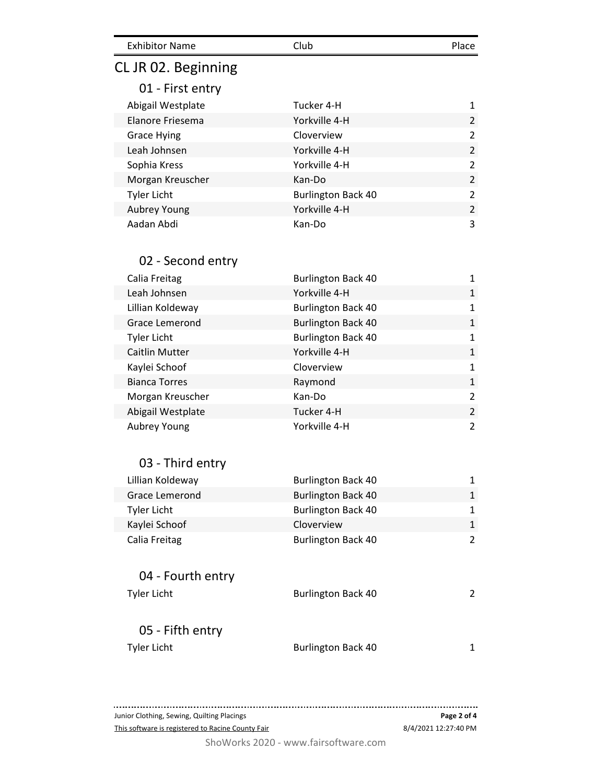| <b>Exhibitor Name</b> | Club | Place |
|-----------------------|------|-------|
|                       |      |       |

# CL JR 02. Beginning

01 - First entry

| Tucker 4-H                | 1             |
|---------------------------|---------------|
| Yorkville 4-H             | $\mathcal{P}$ |
| Cloverview                | 2             |
| Yorkville 4-H             | 2             |
| Yorkville 4-H             | 2             |
| Kan-Do                    | $\mathcal{P}$ |
| <b>Burlington Back 40</b> | 2             |
| Yorkville 4-H             | 2             |
| Kan-Do                    | 3             |
|                           |               |

## 02 - Second entry

| Calia Freitag         | <b>Burlington Back 40</b> |               |
|-----------------------|---------------------------|---------------|
| Leah Johnsen          | Yorkville 4-H             | 1             |
| Lillian Koldeway      | <b>Burlington Back 40</b> | 1             |
| Grace Lemerond        | <b>Burlington Back 40</b> | 1             |
| Tyler Licht           | <b>Burlington Back 40</b> | 1             |
| <b>Caitlin Mutter</b> | Yorkville 4-H             | $\mathbf{1}$  |
| Kaylei Schoof         | Cloverview                | $\mathbf{1}$  |
| <b>Bianca Torres</b>  | Raymond                   | $\mathbf{1}$  |
| Morgan Kreuscher      | Kan-Do                    | $\mathcal{P}$ |
| Abigail Westplate     | Tucker 4-H                | 2             |
| Aubrey Young          | Yorkville 4-H             | 2             |

## 03 - Third entry

| Lillian Koldeway | <b>Burlington Back 40</b> | 1 |
|------------------|---------------------------|---|
| Grace Lemerond   | <b>Burlington Back 40</b> | 1 |
| Tyler Licht      | <b>Burlington Back 40</b> | 1 |
| Kaylei Schoof    | Cloverview                | 1 |
| Calia Freitag    | <b>Burlington Back 40</b> | ာ |

# 04 - Fourth entry

| Tyler Licht      | <b>Burlington Back 40</b> |  |
|------------------|---------------------------|--|
| 05 - Fifth entry |                           |  |
| Tyler Licht      | <b>Burlington Back 40</b> |  |

**Page 2 of 4** Junior Clothing, Sewing, Quilting Placings This software is registered to Racine County Fair 8/4/2021 12:27:40 PM

ShoWorks 2020 - www.fairsoftware.com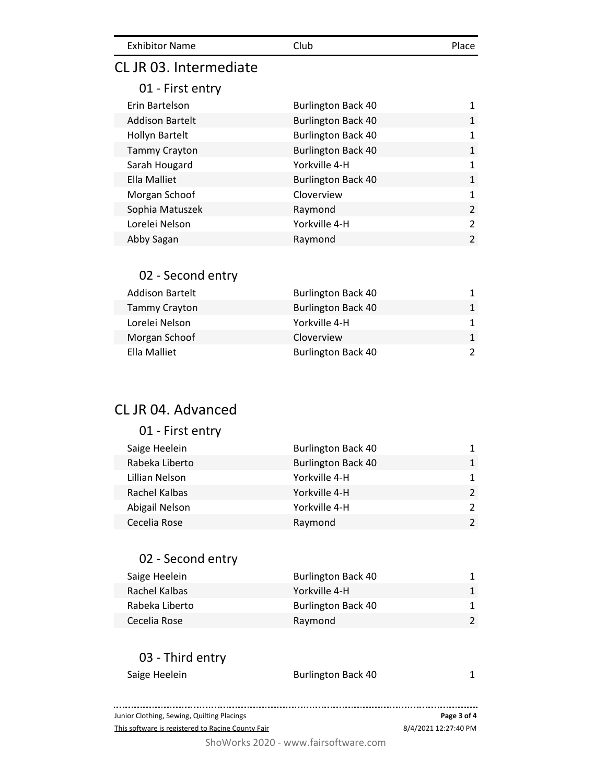| <b>Exhibitor Name</b> | Club | Place. |
|-----------------------|------|--------|
|                       |      |        |

## CL JR 03. Intermediate

#### 01 - First entry

| <b>Burlington Back 40</b> |                |
|---------------------------|----------------|
| <b>Burlington Back 40</b> | $\mathbf{1}$   |
| <b>Burlington Back 40</b> | 1              |
| <b>Burlington Back 40</b> | $\mathbf{1}$   |
| Yorkville 4-H             | $\mathbf{1}$   |
| <b>Burlington Back 40</b> | $\mathbf{1}$   |
| Cloverview                | $\mathbf{1}$   |
| Raymond                   | $\mathcal{P}$  |
| Yorkville 4-H             | $\mathcal{P}$  |
| Raymond                   | $\overline{2}$ |
|                           |                |

## 02 - Second entry

| <b>Addison Bartelt</b> | <b>Burlington Back 40</b> |  |
|------------------------|---------------------------|--|
| <b>Tammy Crayton</b>   | <b>Burlington Back 40</b> |  |
| Lorelei Nelson         | Yorkville 4-H             |  |
| Morgan Schoof          | Cloverview                |  |
| Ella Malliet           | <b>Burlington Back 40</b> |  |

## CL JR 04. Advanced

| 01 - First entry |                           |                |
|------------------|---------------------------|----------------|
| Saige Heelein    | <b>Burlington Back 40</b> | 1              |
| Rabeka Liberto   | <b>Burlington Back 40</b> | 1              |
| Lillian Nelson   | Yorkville 4-H             | 1              |
| Rachel Kalbas    | Yorkville 4-H             | $\mathcal{P}$  |
| Abigail Nelson   | Yorkville 4-H             | $\overline{2}$ |
| Cecelia Rose     | Raymond                   | $\mathcal{P}$  |

#### 02 - Second entry

| Saige Heelein  | <b>Burlington Back 40</b> |  |
|----------------|---------------------------|--|
| Rachel Kalbas  | Yorkville 4-H             |  |
| Rabeka Liberto | <b>Burlington Back 40</b> |  |
| Cecelia Rose   | Raymond                   |  |

#### 03 - Third entry

| Saige Heelein | <b>Burlington Back 40</b> |  |
|---------------|---------------------------|--|
|               |                           |  |

Junior Clothing, Sewing, Quilting Placings **Page 3 of 4** This software is registered to Racine County Fair

8/4/2021 12:27:40 PM

ShoWorks 2020 - www.fairsoftware.com